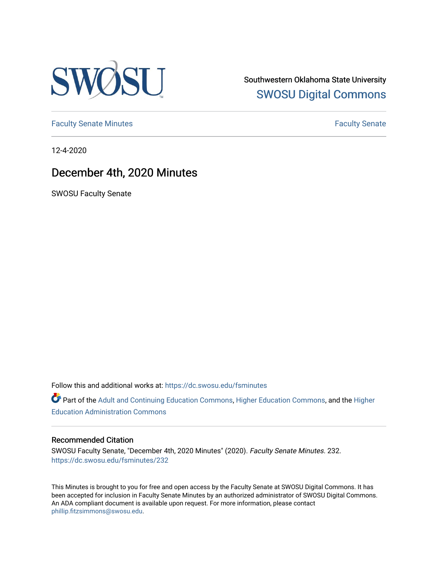

Southwestern Oklahoma State University [SWOSU Digital Commons](https://dc.swosu.edu/) 

[Faculty Senate Minutes](https://dc.swosu.edu/fsminutes) **Faculty** Senate Minutes

12-4-2020

## December 4th, 2020 Minutes

SWOSU Faculty Senate

Follow this and additional works at: [https://dc.swosu.edu/fsminutes](https://dc.swosu.edu/fsminutes?utm_source=dc.swosu.edu%2Ffsminutes%2F232&utm_medium=PDF&utm_campaign=PDFCoverPages) 

Part of the [Adult and Continuing Education Commons,](http://network.bepress.com/hgg/discipline/1375?utm_source=dc.swosu.edu%2Ffsminutes%2F232&utm_medium=PDF&utm_campaign=PDFCoverPages) [Higher Education Commons,](http://network.bepress.com/hgg/discipline/1245?utm_source=dc.swosu.edu%2Ffsminutes%2F232&utm_medium=PDF&utm_campaign=PDFCoverPages) and the [Higher](http://network.bepress.com/hgg/discipline/791?utm_source=dc.swosu.edu%2Ffsminutes%2F232&utm_medium=PDF&utm_campaign=PDFCoverPages) [Education Administration Commons](http://network.bepress.com/hgg/discipline/791?utm_source=dc.swosu.edu%2Ffsminutes%2F232&utm_medium=PDF&utm_campaign=PDFCoverPages) 

#### Recommended Citation

SWOSU Faculty Senate, "December 4th, 2020 Minutes" (2020). Faculty Senate Minutes. 232. [https://dc.swosu.edu/fsminutes/232](https://dc.swosu.edu/fsminutes/232?utm_source=dc.swosu.edu%2Ffsminutes%2F232&utm_medium=PDF&utm_campaign=PDFCoverPages) 

This Minutes is brought to you for free and open access by the Faculty Senate at SWOSU Digital Commons. It has been accepted for inclusion in Faculty Senate Minutes by an authorized administrator of SWOSU Digital Commons. An ADA compliant document is available upon request. For more information, please contact [phillip.fitzsimmons@swosu.edu](mailto:phillip.fitzsimmons@swosu.edu).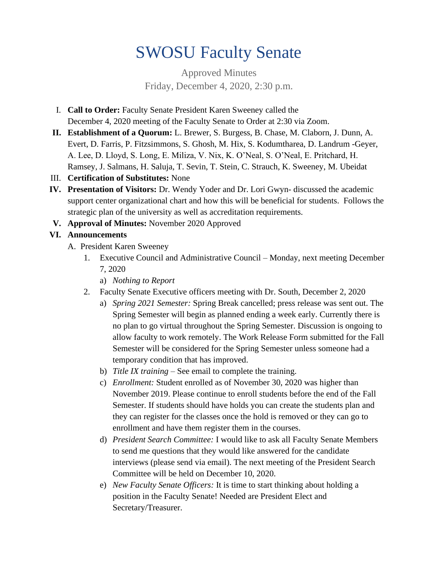# SWOSU Faculty Senate

Approved Minutes Friday, December 4, 2020, 2:30 p.m.

- I. **Call to Order:** Faculty Senate President Karen Sweeney called the December 4, 2020 meeting of the Faculty Senate to Order at 2:30 via Zoom.
- **II. Establishment of a Quorum:** L. Brewer, S. Burgess, B. Chase, M. Claborn, J. Dunn, A. Evert, D. Farris, P. Fitzsimmons, S. Ghosh, M. Hix, S. Kodumtharea, D. Landrum -Geyer, A. Lee, D. Lloyd, S. Long, E. Miliza, V. Nix, K. O'Neal, S. O'Neal, E. Pritchard, H. Ramsey, J. Salmans, H. Saluja, T. Sevin, T. Stein, C. Strauch, K. Sweeney, M. Ubeidat
- III. **Certification of Substitutes:** None
- **IV. Presentation of Visitors:** Dr. Wendy Yoder and Dr. Lori Gwyn- discussed the academic support center organizational chart and how this will be beneficial for students. Follows the strategic plan of the university as well as accreditation requirements.
- **V. Approval of Minutes:** November 2020 Approved

### **VI. Announcements**

- A. President Karen Sweeney
	- 1. Executive Council and Administrative Council Monday, next meeting December 7, 2020
		- a) *Nothing to Report*
	- 2. Faculty Senate Executive officers meeting with Dr. South, December 2, 2020
		- a) *Spring 2021 Semester:* Spring Break cancelled; press release was sent out. The Spring Semester will begin as planned ending a week early. Currently there is no plan to go virtual throughout the Spring Semester. Discussion is ongoing to allow faculty to work remotely. The Work Release Form submitted for the Fall Semester will be considered for the Spring Semester unless someone had a temporary condition that has improved.
		- b) *Title IX training –* See email to complete the training.
		- c) *Enrollment:* Student enrolled as of November 30, 2020 was higher than November 2019. Please continue to enroll students before the end of the Fall Semester. If students should have holds you can create the students plan and they can register for the classes once the hold is removed or they can go to enrollment and have them register them in the courses.
		- d) *President Search Committee:* I would like to ask all Faculty Senate Members to send me questions that they would like answered for the candidate interviews (please send via email). The next meeting of the President Search Committee will be held on December 10, 2020.
		- e) *New Faculty Senate Officers:* It is time to start thinking about holding a position in the Faculty Senate! Needed are President Elect and Secretary/Treasurer.